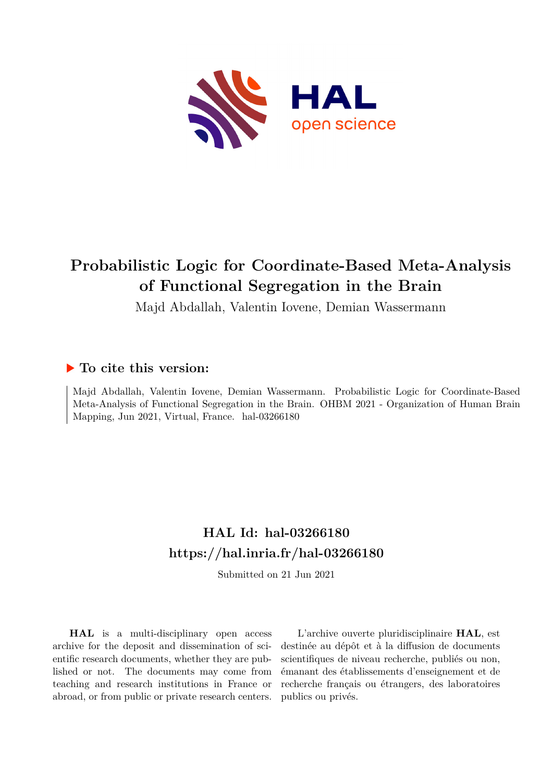

# **Probabilistic Logic for Coordinate-Based Meta-Analysis of Functional Segregation in the Brain**

Majd Abdallah, Valentin Iovene, Demian Wassermann

# **To cite this version:**

Majd Abdallah, Valentin Iovene, Demian Wassermann. Probabilistic Logic for Coordinate-Based Meta-Analysis of Functional Segregation in the Brain. OHBM 2021 - Organization of Human Brain Mapping, Jun 2021, Virtual, France. hal-03266180

# **HAL Id: hal-03266180 <https://hal.inria.fr/hal-03266180>**

Submitted on 21 Jun 2021

**HAL** is a multi-disciplinary open access archive for the deposit and dissemination of scientific research documents, whether they are published or not. The documents may come from teaching and research institutions in France or abroad, or from public or private research centers.

L'archive ouverte pluridisciplinaire **HAL**, est destinée au dépôt et à la diffusion de documents scientifiques de niveau recherche, publiés ou non, émanant des établissements d'enseignement et de recherche français ou étrangers, des laboratoires publics ou privés.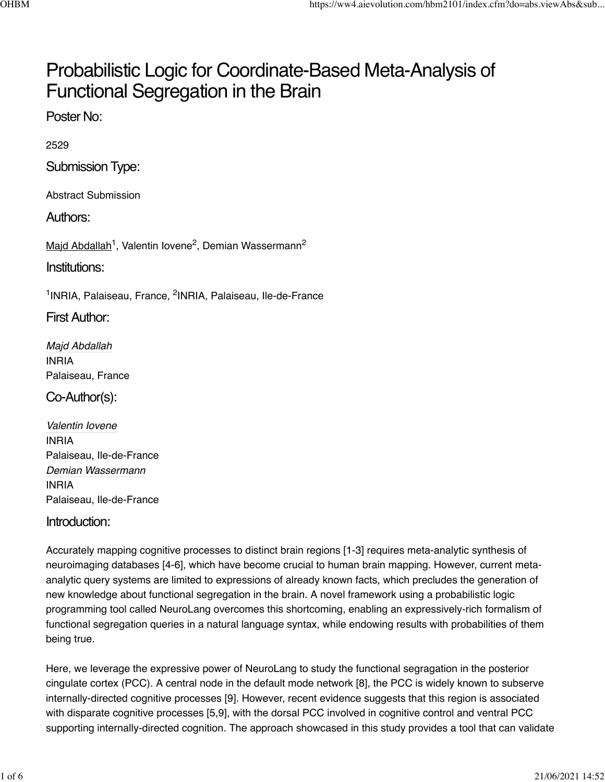# Probabilistic Logic for Coordinate-Based Meta-Analysis of Functional Segregation in the Brain

Poster No:

2529

Submission Type:

Abstract Submission

Authors:

Majd Abdallah<sup>1</sup>, Valentin Iovene<sup>2</sup>, Demian Wassermann<sup>2</sup>

Institutions:

<sup>1</sup>INRIA, Palaiseau, France, <sup>2</sup>INRIA, Palaiseau, Ile-de-France

First Author:

*Majd Abdallah* INRIA Palaiseau, France

Co-Author(s):

*Valentin Iovene* INRIA Palaiseau, Ile-de-France *Demian Wassermann* INRIA Palaiseau, Ile-de-France

### Introduction:

Accurately mapping cognitive processes to distinct brain regions [1-3] requires meta-analytic synthesis of neuroimaging databases [4-6], which have become crucial to human brain mapping. However, current metaanalytic query systems are limited to expressions of already known facts, which precludes the generation of new knowledge about functional segregation in the brain. A novel framework using a probabilistic logic programming tool called NeuroLang overcomes this shortcoming, enabling an expressively-rich formalism of functional segregation queries in a natural language syntax, while endowing results with probabilities of them being true.

Here, we leverage the expressive power of NeuroLang to study the functional segragation in the posterior cingulate cortex (PCC). A central node in the default mode network [8], the PCC is widely known to subserve internally-directed cognitive processes [9]. However, recent evidence suggests that this region is associated with disparate cognitive processes [5,9], with the dorsal PCC involved in cognitive control and ventral PCC supporting internally-directed cognition. The approach showcased in this study provides a tool that can validate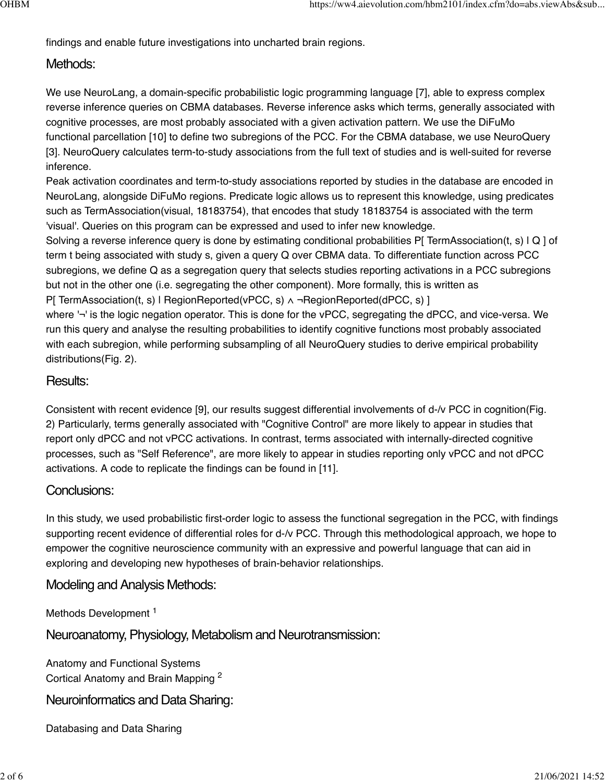findings and enable future investigations into uncharted brain regions.

# Methods:

We use NeuroLang, a domain-specific probabilistic logic programming language [7], able to express complex reverse inference queries on CBMA databases. Reverse inference asks which terms, generally associated with cognitive processes, are most probably associated with a given activation pattern. We use the DiFuMo functional parcellation [10] to define two subregions of the PCC. For the CBMA database, we use NeuroQuery [3]. NeuroQuery calculates term-to-study associations from the full text of studies and is well-suited for reverse inference.

Peak activation coordinates and term-to-study associations reported by studies in the database are encoded in NeuroLang, alongside DiFuMo regions. Predicate logic allows us to represent this knowledge, using predicates such as TermAssociation(visual, 18183754), that encodes that study 18183754 is associated with the term 'visual'. Queries on this program can be expressed and used to infer new knowledge.

Solving a reverse inference query is done by estimating conditional probabilities P[ TermAssociation(t, s) | Q ] of term t being associated with study s, given a query Q over CBMA data. To differentiate function across PCC subregions, we define Q as a segregation query that selects studies reporting activations in a PCC subregions but not in the other one (i.e. segregating the other component). More formally, this is written as P[ TermAssociation(t, s) | RegionReported(vPCC, s) ∧ ¬RegionReported(dPCC, s) ]

where '¬' is the logic negation operator. This is done for the vPCC, segregating the dPCC, and vice-versa. We run this query and analyse the resulting probabilities to identify cognitive functions most probably associated with each subregion, while performing subsampling of all NeuroQuery studies to derive empirical probability distributions(Fig. 2).

# Results:

Consistent with recent evidence [9], our results suggest differential involvements of d-/v PCC in cognition(Fig. 2) Particularly, terms generally associated with "Cognitive Control" are more likely to appear in studies that report only dPCC and not vPCC activations. In contrast, terms associated with internally-directed cognitive processes, such as "Self Reference", are more likely to appear in studies reporting only vPCC and not dPCC activations. A code to replicate the findings can be found in [11].

# Conclusions:

In this study, we used probabilistic first-order logic to assess the functional segregation in the PCC, with findings supporting recent evidence of differential roles for d-/v PCC. Through this methodological approach, we hope to empower the cognitive neuroscience community with an expressive and powerful language that can aid in exploring and developing new hypotheses of brain-behavior relationships.

# Modeling and Analysis Methods:

Methods Development<sup>1</sup>

Neuroanatomy, Physiology, Metabolism and Neurotransmission:

Anatomy and Functional Systems Cortical Anatomy and Brain Mapping<sup>2</sup>

Neuroinformatics and Data Sharing:

Databasing and Data Sharing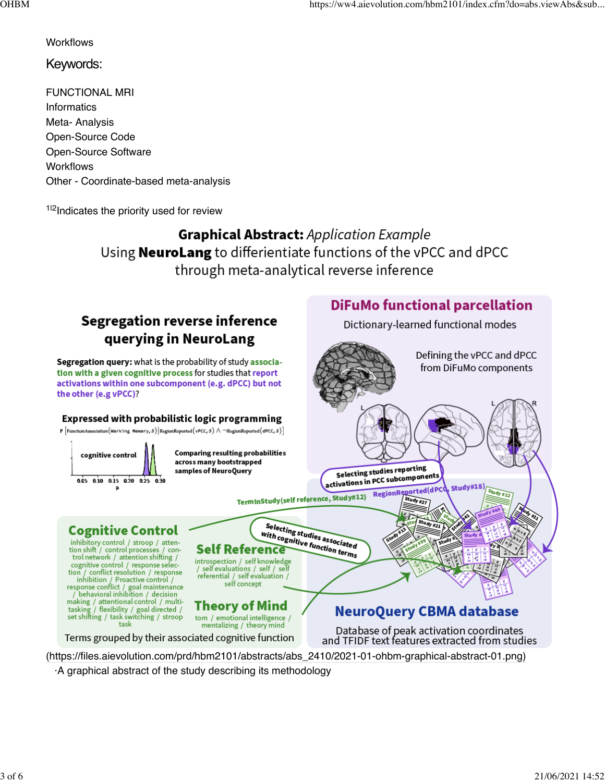**DiFuMo functional parcellation** 

Dictionary-learned functional modes

Defining the vPCC and dPCC

from DiFuMo components

#### **Workflows**

### Keywords:

FUNCTIONAL MRI **Informatics** Meta- Analysis Open-Source Code Open-Source Software **Workflows** Other - Coordinate-based meta-analysis

<sup>1|2</sup>Indicates the priority used for review

**Graphical Abstract: Application Example** Using **NeuroLang** to differientiate functions of the vPCC and dPCC through meta-analytical reverse inference

# **Segregation reverse inference** querying in NeuroLang

Segregation query: what is the probability of study association with a given cognitive process for studies that report activations within one subcomponent (e.g. dPCC) but not the other (e.g vPCC)?

#### Expressed with probabilistic logic programming P  $\lceil$  Function Association (Working Memory, S) Region Reported (vPCC, S)  $\land \neg$  Region Reported (dPCC, S)  $\rceil$ **Comparing resulting probabilities** cognitive control across many bootstrapped Selecting studies reporting samples of NeuroQuery Selecting studies reporting<br>activations in PCC subcomponents 0.05 0.10 0.15 0.20 0.25 0.30 Study#18) RegionReported(dPC  $$tudy #12$ TermInStudy(self reference, Study#12) Study #27 Selecting studies associated<br>with cognitive function towed with cognitive function terms<br> **ence**<br> **ence**<br> **ence Cognitive Control** inhibitory control / stroop / atten-**Self Reference** tion shift / control processes / control network / attention shifting / introspection / self knowledge contribution of account sympathy<br>control / response selection / conflict resolution / response<br>inhibition / Proactive control /<br>response conflict / goal maintenance<br>/ behavioral inhibition / decision / self evaluations / self / self referential / self evaluation / self concept presentational control / multi-<br>tasking / attentional control / multi-<br>tasking / flexibility / goal directed /<br>set shifting / task switching / stroop<br>task **Theory of Mind NeuroQuery CBMA database** tom / emotional intelligence / mentalizing / theory mind Database of peak activation coordinates and TFIDF text features extracted from studies

Terms grouped by their associated cognitive function

(https://files.aievolution.com/prd/hbm2101/abstracts/abs\_2410/2021-01-ohbm-graphical-abstract-01.png)

·A graphical abstract of the study describing its methodology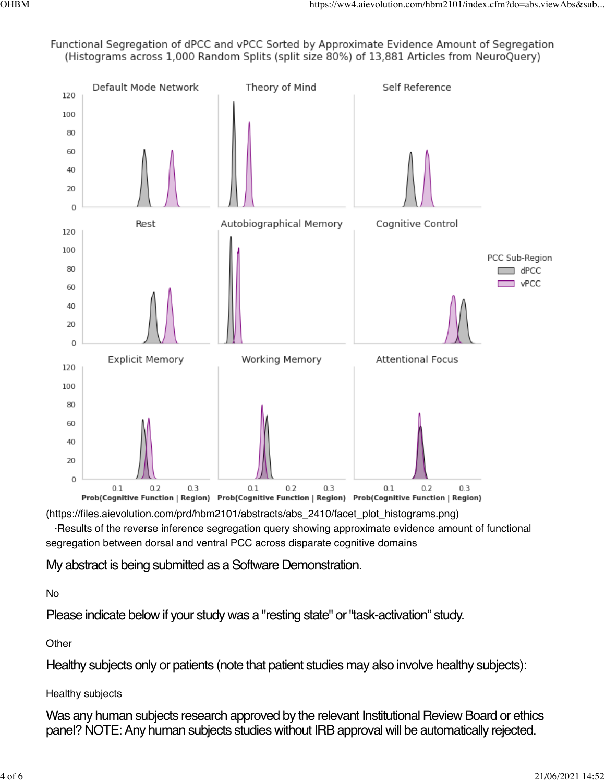Functional Segregation of dPCC and vPCC Sorted by Approximate Evidence Amount of Segregation (Histograms across 1,000 Random Splits (split size 80%) of 13,881 Articles from NeuroQuery)



(https://files.aievolution.com/prd/hbm2101/abstracts/abs\_2410/facet\_plot\_histograms.png)

 ·Results of the reverse inference segregation query showing approximate evidence amount of functional segregation between dorsal and ventral PCC across disparate cognitive domains

My abstract is being submitted as a Software Demonstration.

# No

Please indicate below if your study was a "resting state" or "task-activation" study.

**Other** 

Healthy subjects only or patients (note that patient studies may also involve healthy subjects):

# Healthy subjects

Was any human subjects research approved by the relevant Institutional Review Board or ethics panel? NOTE: Any human subjects studies without IRB approval will be automatically rejected.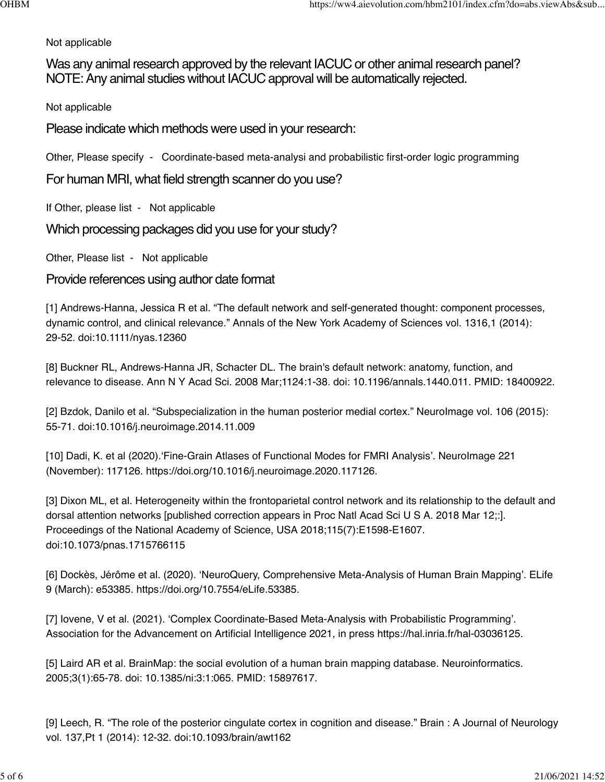### Not applicable

Was any animal research approved by the relevant IACUC or other animal research panel? NOTE: Any animal studies without IACUC approval will be automatically rejected.

Not applicable

Please indicate which methods were used in your research:

Other, Please specify - Coordinate-based meta-analysi and probabilistic first-order logic programming

For human MRI, what field strength scanner do you use?

If Other, please list - Not applicable

Which processing packages did you use for your study?

Other, Please list - Not applicable

Provide references using author date format

[1] Andrews-Hanna, Jessica R et al. "The default network and self-generated thought: component processes, dynamic control, and clinical relevance." Annals of the New York Academy of Sciences vol. 1316,1 (2014): 29-52. doi:10.1111/nyas.12360

[8] Buckner RL, Andrews-Hanna JR, Schacter DL. The brain's default network: anatomy, function, and relevance to disease. Ann N Y Acad Sci. 2008 Mar;1124:1-38. doi: 10.1196/annals.1440.011. PMID: 18400922.

[2] Bzdok, Danilo et al. "Subspecialization in the human posterior medial cortex." NeuroImage vol. 106 (2015): 55-71. doi:10.1016/j.neuroimage.2014.11.009

[10] Dadi, K. et al (2020).'Fine-Grain Atlases of Functional Modes for FMRI Analysis'. NeuroImage 221 (November): 117126. https://doi.org/10.1016/j.neuroimage.2020.117126.

[3] Dixon ML, et al. Heterogeneity within the frontoparietal control network and its relationship to the default and dorsal attention networks [published correction appears in Proc Natl Acad Sci U S A. 2018 Mar 12;:]. Proceedings of the National Academy of Science, USA 2018;115(7):E1598-E1607. doi:10.1073/pnas.1715766115

[6] Dockès, Jérôme et al. (2020). 'NeuroQuery, Comprehensive Meta-Analysis of Human Brain Mapping'. ELife 9 (March): e53385. https://doi.org/10.7554/eLife.53385.

[7] Iovene, V et al. (2021). 'Complex Coordinate-Based Meta-Analysis with Probabilistic Programming'. Association for the Advancement on Artificial Intelligence 2021, in press https://hal.inria.fr/hal-03036125.

[5] Laird AR et al. BrainMap: the social evolution of a human brain mapping database. Neuroinformatics. 2005;3(1):65-78. doi: 10.1385/ni:3:1:065. PMID: 15897617.

[9] Leech, R. "The role of the posterior cingulate cortex in cognition and disease." Brain : A Journal of Neurology vol. 137,Pt 1 (2014): 12-32. doi:10.1093/brain/awt162